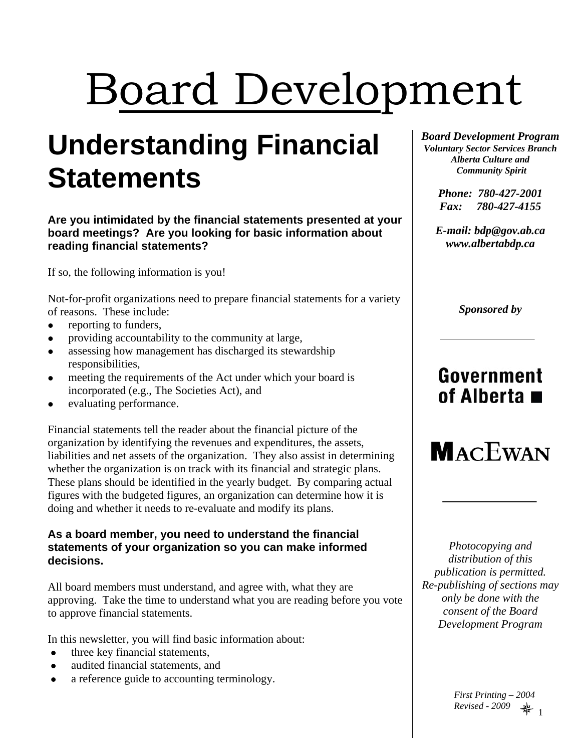# Board Development

## **Understanding Financial Statements**

**Are you intimidated by the financial statements presented at your board meetings? Are you looking for basic information about reading financial statements?** 

If so, the following information is you!

Not-for-profit organizations need to prepare financial statements for a variety of reasons. These include:

- $\bullet$  reporting to funders,
- providing accountability to the community at large,
- assessing how management has discharged its stewardship responsibilities,
- meeting the requirements of the Act under which your board is incorporated (e.g., The Societies Act), and
- evaluating performance.

Financial statements tell the reader about the financial picture of the organization by identifying the revenues and expenditures, the assets, liabilities and net assets of the organization. They also assist in determining whether the organization is on track with its financial and strategic plans. These plans should be identified in the yearly budget. By comparing actual figures with the budgeted figures, an organization can determine how it is doing and whether it needs to re-evaluate and modify its plans.

#### **As a board member, you need to understand the financial statements of your organization so you can make informed decisions.**

All board members must understand, and agree with, what they are approving. Take the time to understand what you are reading before you vote to approve financial statements.

In this newsletter, you will find basic information about:

- three key financial statements,
- audited financial statements, and
- a reference guide to accounting terminology.

*Board Development Program Voluntary Sector Services Branch Alberta Culture and Community Spirit* 

> *Phone: 780-427-2001 Fax: 780-427-4155*

*E-mail: bdp@gov.ab.ca www.albertabdp.ca* 

*Sponsored by* 

## Government of Alberta  $\blacksquare$



*Photocopying and distribution of this publication is permitted. Re-publishing of sections may only be done with the consent of the Board Development Program* 

> 1 *Revised - 2009 First Printing – 2004*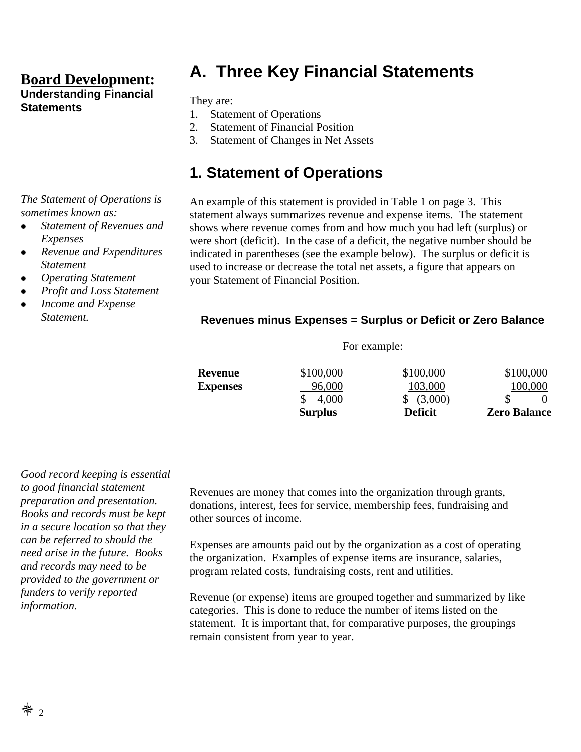*The Statement of Operations is sometimes known as:* 

- <sup>z</sup> *Statement of Revenues and Expenses*
- <sup>z</sup> *Revenue and Expenditures Statement*
- <sup>z</sup> *Operating Statement*
- <sup>z</sup> *Profit and Loss Statement*
- <sup>z</sup> *Income and Expense Statement.*

#### *Good record keeping is essential to good financial statement preparation and presentation. Books and records must be kept in a secure location so that they can be referred to should the need arise in the future. Books and records may need to be provided to the government or funders to verify reported information.*

## **A. Three Key Financial Statements**

They are:

- 1. Statement of Operations
- 2. Statement of Financial Position
- 3. Statement of Changes in Net Assets

## **1. Statement of Operations**

An example of this statement is provided in Table 1 on page 3. This statement always summarizes revenue and expense items. The statement shows where revenue comes from and how much you had left (surplus) or were short (deficit). In the case of a deficit, the negative number should be indicated in parentheses (see the example below). The surplus or deficit is used to increase or decrease the total net assets, a figure that appears on your Statement of Financial Position.

#### **Revenues minus Expenses = Surplus or Deficit or Zero Balance**

For example:

|                 | <b>Surplus</b> | <b>Deficit</b> | <b>Zero Balance</b> |
|-----------------|----------------|----------------|---------------------|
|                 | 4,000          | \$ (3,000)     |                     |
| <b>Expenses</b> | 96,000         | 103,000        | 100,000             |
| Revenue         | \$100,000      | \$100,000      | \$100,000           |
|                 |                |                |                     |

Revenues are money that comes into the organization through grants, donations, interest, fees for service, membership fees, fundraising and

Expenses are amounts paid out by the organization as a cost of operating the organization. Examples of expense items are insurance, salaries, program related costs, fundraising costs, rent and utilities.

Revenue (or expense) items are grouped together and summarized by like categories. This is done to reduce the number of items listed on the statement. It is important that, for comparative purposes, the groupings remain consistent from year to year.

other sources of income.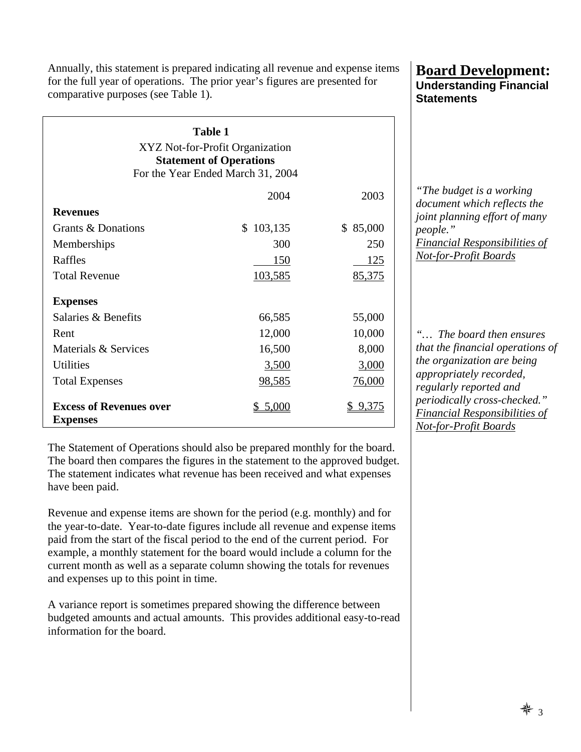Annually, this statement is prepared indicating all revenue and expense items for the full year of operations. The prior year's figures are presented for comparative purposes (see Table 1).

| <b>Table 1</b><br>XYZ Not-for-Profit Organization<br><b>Statement of Operations</b><br>For the Year Ended March 31, 2004 |                         |              |  |  |  |
|--------------------------------------------------------------------------------------------------------------------------|-------------------------|--------------|--|--|--|
|                                                                                                                          | 2004                    | 2003         |  |  |  |
| <b>Revenues</b>                                                                                                          |                         |              |  |  |  |
| Grants & Donations                                                                                                       | 103,135<br>$\mathbb{S}$ | 85,000<br>\$ |  |  |  |
| Memberships                                                                                                              | 300                     | 250          |  |  |  |
| Raffles                                                                                                                  | 150                     | 125          |  |  |  |
| <b>Total Revenue</b>                                                                                                     | 103,585                 | 85,375       |  |  |  |
| <b>Expenses</b>                                                                                                          |                         |              |  |  |  |
| Salaries & Benefits                                                                                                      | 66,585                  | 55,000       |  |  |  |
| Rent                                                                                                                     | 12,000                  | 10,000       |  |  |  |
| Materials & Services                                                                                                     | 16,500                  | 8,000        |  |  |  |
| <b>Utilities</b>                                                                                                         | 3,500                   | 3,000        |  |  |  |
| <b>Total Expenses</b>                                                                                                    | <u>98,585</u>           | 76,000       |  |  |  |
| <b>Excess of Revenues over</b><br><b>Expenses</b>                                                                        | 5,000                   | 9.375        |  |  |  |

The Statement of Operations should also be prepared monthly for the board. The board then compares the figures in the statement to the approved budget. The statement indicates what revenue has been received and what expenses have been paid.

Revenue and expense items are shown for the period (e.g. monthly) and for the year-to-date. Year-to-date figures include all revenue and expense items paid from the start of the fiscal period to the end of the current period. For example, a monthly statement for the board would include a column for the current month as well as a separate column showing the totals for revenues and expenses up to this point in time.

A variance report is sometimes prepared showing the difference between budgeted amounts and actual amounts. This provides additional easy-to-read information for the board.

#### **Board Development: Understanding Financial Statements**

*"The budget is a working document which reflects the joint planning effort of many people." Financial Responsibilities of Not-for-Profit Boards*

*"… The board then ensures that the financial operations of the organization are being appropriately recorded, regularly reported and periodically cross-checked." Financial Responsibilities of Not-for-Profit Boards*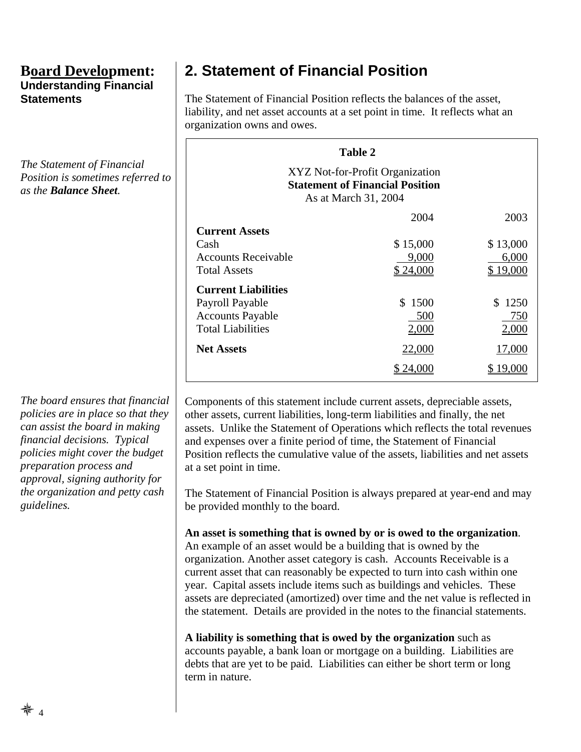*The Statement of Financial Position is sometimes referred to as the Balance Sheet.* 

*The board ensures that financial policies are in place so that they can assist the board in making financial decisions. Typical policies might cover the budget preparation process and approval, signing authority for the organization and petty cash guidelines.* 

## **2. Statement of Financial Position**

The Statement of Financial Position reflects the balances of the asset, liability, and net asset accounts at a set point in time. It reflects what an organization owns and owes.

| Table 2                                                                                           |          |           |  |  |  |  |
|---------------------------------------------------------------------------------------------------|----------|-----------|--|--|--|--|
| XYZ Not-for-Profit Organization<br><b>Statement of Financial Position</b><br>As at March 31, 2004 |          |           |  |  |  |  |
|                                                                                                   | 2004     | 2003      |  |  |  |  |
| <b>Current Assets</b>                                                                             |          |           |  |  |  |  |
| Cash                                                                                              | \$15,000 | \$13,000  |  |  |  |  |
| <b>Accounts Receivable</b>                                                                        | 9,000    | 6,000     |  |  |  |  |
| <b>Total Assets</b>                                                                               | \$24,000 | \$ 19,000 |  |  |  |  |
| <b>Current Liabilities</b>                                                                        |          |           |  |  |  |  |
| Payroll Payable                                                                                   | \$1500   | \$1250    |  |  |  |  |
| <b>Accounts Payable</b>                                                                           | 500      | 750       |  |  |  |  |
| <b>Total Liabilities</b>                                                                          | 2,000    | 2,000     |  |  |  |  |
| <b>Net Assets</b>                                                                                 | 22,000   | 17,000    |  |  |  |  |
|                                                                                                   |          |           |  |  |  |  |

Components of this statement include current assets, depreciable assets, other assets, current liabilities, long-term liabilities and finally, the net assets. Unlike the Statement of Operations which reflects the total revenues and expenses over a finite period of time, the Statement of Financial Position reflects the cumulative value of the assets, liabilities and net assets at a set point in time.

The Statement of Financial Position is always prepared at year-end and may be provided monthly to the board.

#### **An asset is something that is owned by or is owed to the organization**.

An example of an asset would be a building that is owned by the organization. Another asset category is cash. Accounts Receivable is a current asset that can reasonably be expected to turn into cash within one year. Capital assets include items such as buildings and vehicles. These assets are depreciated (amortized) over time and the net value is reflected in the statement. Details are provided in the notes to the financial statements.

**A liability is something that is owed by the organization** such as accounts payable, a bank loan or mortgage on a building. Liabilities are debts that are yet to be paid. Liabilities can either be short term or long term in nature.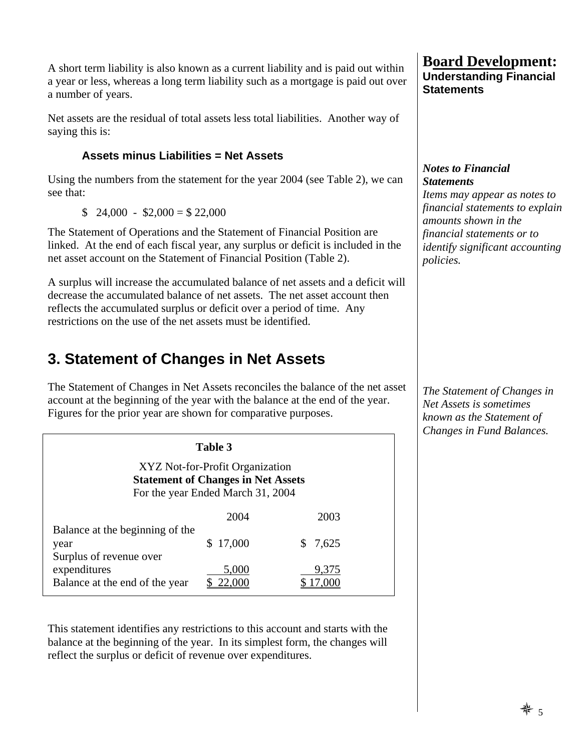A short term liability is also known as a current liability and is paid out within a year or less, whereas a long term liability such as a mortgage is paid out over a number of years.

Net assets are the residual of total assets less total liabilities. Another way of saying this is:

#### **Assets minus Liabilities = Net Assets**

Using the numbers from the statement for the year 2004 (see Table 2), we can see that:

 $$ 24,000 - $2,000 = $22,000$ 

The Statement of Operations and the Statement of Financial Position are linked. At the end of each fiscal year, any surplus or deficit is included in the net asset account on the Statement of Financial Position (Table 2).

A surplus will increase the accumulated balance of net assets and a deficit will decrease the accumulated balance of net assets. The net asset account then reflects the accumulated surplus or deficit over a period of time. Any restrictions on the use of the net assets must be identified.

## **3. Statement of Changes in Net Assets**

The Statement of Changes in Net Assets reconciles the balance of the net asset account at the beginning of the year with the balance at the end of the year. Figures for the prior year are shown for comparative purposes.

| Table 3                                                                                                           |          |       |  |  |  |
|-------------------------------------------------------------------------------------------------------------------|----------|-------|--|--|--|
| XYZ Not-for-Profit Organization<br><b>Statement of Changes in Net Assets</b><br>For the year Ended March 31, 2004 |          |       |  |  |  |
|                                                                                                                   | 2004     | 2003  |  |  |  |
| Balance at the beginning of the<br>year<br>Surplus of revenue over                                                | \$17,000 | 7,625 |  |  |  |
| expenditures<br>Balance at the end of the year                                                                    | 5,000    | 9,375 |  |  |  |

This statement identifies any restrictions to this account and starts with the balance at the beginning of the year. In its simplest form, the changes will reflect the surplus or deficit of revenue over expenditures.

#### **Board Development: Understanding Financial Statements**

#### *Notes to Financial Statements*

*Items may appear as notes to financial statements to explain amounts shown in the financial statements or to identify significant accounting policies.* 

*The Statement of Changes in Net Assets is sometimes known as the Statement of Changes in Fund Balances.*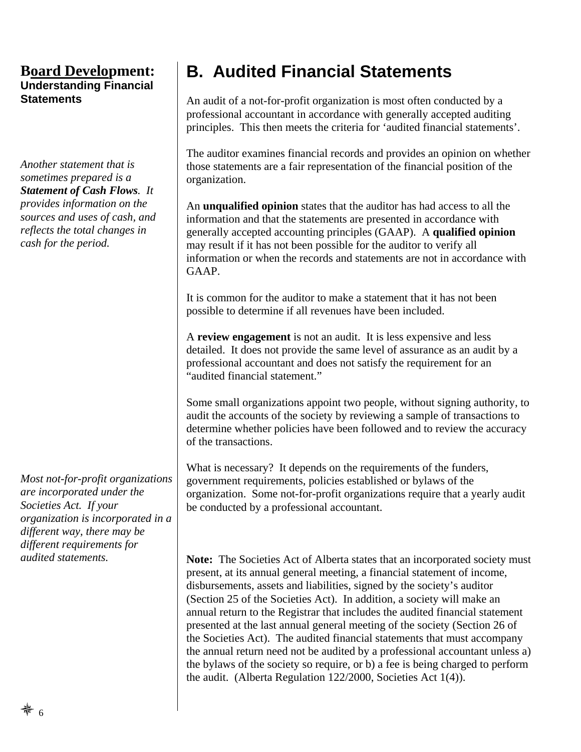*Another statement that is sometimes prepared is a Statement of Cash Flows. It provides information on the sources and uses of cash, and reflects the total changes in cash for the period.* 

*Most not-for-profit organizations are incorporated under the Societies Act. If your organization is incorporated in a different way, there may be different requirements for audited statements.* 

## **B. Audited Financial Statements**

An audit of a not-for-profit organization is most often conducted by a professional accountant in accordance with generally accepted auditing principles. This then meets the criteria for 'audited financial statements'.

The auditor examines financial records and provides an opinion on whether those statements are a fair representation of the financial position of the organization.

An **unqualified opinion** states that the auditor has had access to all the information and that the statements are presented in accordance with generally accepted accounting principles (GAAP). A **qualified opinion** may result if it has not been possible for the auditor to verify all information or when the records and statements are not in accordance with GAAP.

It is common for the auditor to make a statement that it has not been possible to determine if all revenues have been included.

A **review engagement** is not an audit. It is less expensive and less detailed. It does not provide the same level of assurance as an audit by a professional accountant and does not satisfy the requirement for an "audited financial statement."

Some small organizations appoint two people, without signing authority, to audit the accounts of the society by reviewing a sample of transactions to determine whether policies have been followed and to review the accuracy of the transactions.

What is necessary? It depends on the requirements of the funders, government requirements, policies established or bylaws of the organization. Some not-for-profit organizations require that a yearly audit be conducted by a professional accountant.

**Note:** The Societies Act of Alberta states that an incorporated society must present, at its annual general meeting, a financial statement of income, disbursements, assets and liabilities, signed by the society's auditor (Section 25 of the Societies Act). In addition, a society will make an annual return to the Registrar that includes the audited financial statement presented at the last annual general meeting of the society (Section 26 of the Societies Act). The audited financial statements that must accompany the annual return need not be audited by a professional accountant unless a) the bylaws of the society so require, or b) a fee is being charged to perform the audit. (Alberta Regulation 122/2000, Societies Act 1(4)).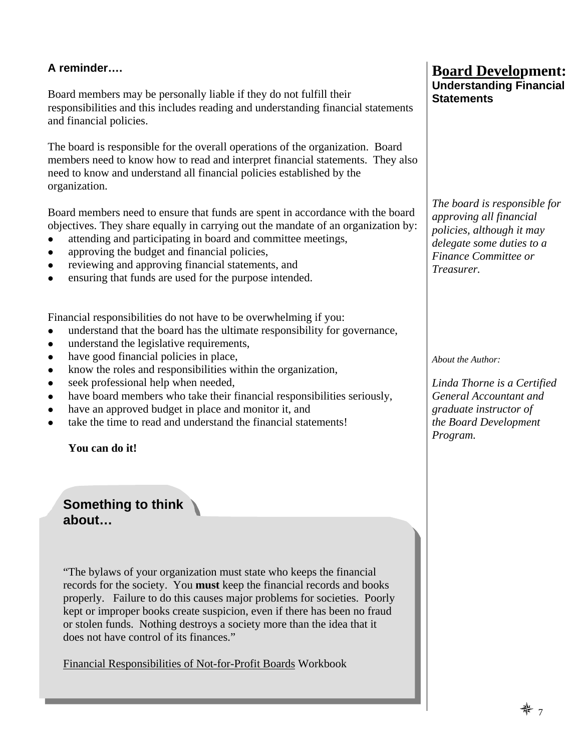# **A reminder….**

Board members may be personally liable if they do not fulfill their responsibilities and this includes reading and understanding financial statements and financial policies.

The board is responsible for the overall operations of the organization. Board members need to know how to read and interpret financial statements. They also need to know and understand all financial policies established by the organization.

Board members need to ensure that funds are spent in accordance with the board objectives. They share equally in carrying out the mandate of an organization by:

- attending and participating in board and committee meetings,
- approving the budget and financial policies,
- reviewing and approving financial statements, and
- ensuring that funds are used for the purpose intended.

Financial responsibilities do not have to be overwhelming if you:

- understand that the board has the ultimate responsibility for governance,
- understand the legislative requirements,
- $\bullet$  have good financial policies in place,
- know the roles and responsibilities within the organization,
- seek professional help when needed,
- have board members who take their financial responsibilities seriously,
- have an approved budget in place and monitor it, and
- take the time to read and understand the financial statements!

**You can do it!** 

**Something to think about…**

"The bylaws of your organization must state who keeps the financial records for the society. You **must** keep the financial records and books properly. Failure to do this causes major problems for societies. Poorly kept or improper books create suspicion, even if there has been no fraud or stolen funds. Nothing destroys a society more than the idea that it does not have control of its finances."

Financial Responsibilities of Not-for-Profit Boards Workbook

#### **Board Development: Understanding Financial Statements**

*The board is responsible for approving all financial policies, although it may delegate some duties to a Finance Committee or Treasurer.* 

*About the Author:* 

*Linda Thorne is a Certified General Accountant and graduate instructor of the Board Development Program.*